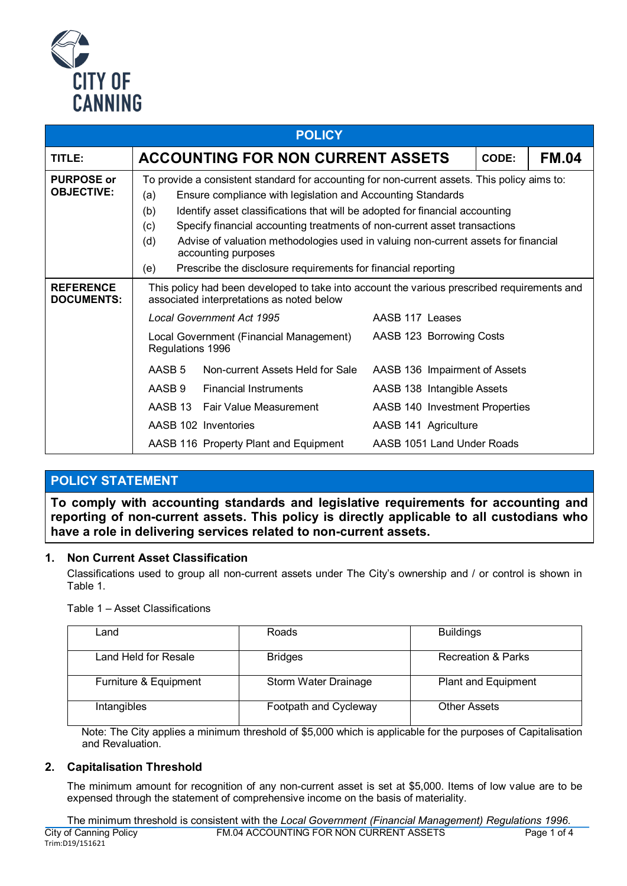

| <b>POLICY</b>                          |                                                                                                                                                                                                                                                                                                                                                                                                                                                                                                                                           |                                       |                                |  |  |  |  |  |  |
|----------------------------------------|-------------------------------------------------------------------------------------------------------------------------------------------------------------------------------------------------------------------------------------------------------------------------------------------------------------------------------------------------------------------------------------------------------------------------------------------------------------------------------------------------------------------------------------------|---------------------------------------|--------------------------------|--|--|--|--|--|--|
| TITLE:                                 | <b>ACCOUNTING FOR NON CURRENT ASSETS</b>                                                                                                                                                                                                                                                                                                                                                                                                                                                                                                  | CODE:                                 | <b>FM.04</b>                   |  |  |  |  |  |  |
| <b>PURPOSE or</b><br><b>OBJECTIVE:</b> | To provide a consistent standard for accounting for non-current assets. This policy aims to:<br>Ensure compliance with legislation and Accounting Standards<br>(a)<br>(b)<br>Identify asset classifications that will be adopted for financial accounting<br>Specify financial accounting treatments of non-current asset transactions<br>(c)<br>Advise of valuation methodologies used in valuing non-current assets for financial<br>(d)<br>accounting purposes<br>Prescribe the disclosure requirements for financial reporting<br>(e) |                                       |                                |  |  |  |  |  |  |
| <b>REFERENCE</b><br><b>DOCUMENTS:</b>  | This policy had been developed to take into account the various prescribed requirements and<br>associated interpretations as noted below                                                                                                                                                                                                                                                                                                                                                                                                  |                                       |                                |  |  |  |  |  |  |
|                                        |                                                                                                                                                                                                                                                                                                                                                                                                                                                                                                                                           | <b>Local Government Act 1995</b>      | AASB 117 Leases                |  |  |  |  |  |  |
|                                        | Local Government (Financial Management)<br>Regulations 1996                                                                                                                                                                                                                                                                                                                                                                                                                                                                               |                                       | AASB 123 Borrowing Costs       |  |  |  |  |  |  |
|                                        | AASB <sub>5</sub>                                                                                                                                                                                                                                                                                                                                                                                                                                                                                                                         | Non-current Assets Held for Sale      | AASB 136 Impairment of Assets  |  |  |  |  |  |  |
|                                        | AASB 9                                                                                                                                                                                                                                                                                                                                                                                                                                                                                                                                    | <b>Financial Instruments</b>          | AASB 138 Intangible Assets     |  |  |  |  |  |  |
|                                        |                                                                                                                                                                                                                                                                                                                                                                                                                                                                                                                                           | AASB 13 Fair Value Measurement        | AASB 140 Investment Properties |  |  |  |  |  |  |
|                                        |                                                                                                                                                                                                                                                                                                                                                                                                                                                                                                                                           | AASB 102 Inventories                  | AASB 141 Agriculture           |  |  |  |  |  |  |
|                                        |                                                                                                                                                                                                                                                                                                                                                                                                                                                                                                                                           | AASB 116 Property Plant and Equipment | AASB 1051 Land Under Roads     |  |  |  |  |  |  |

## **POLICY STATEMENT**

**To comply with accounting standards and legislative requirements for accounting and reporting of non-current assets. This policy is directly applicable to all custodians who have a role in delivering services related to non-current assets.**

## **1. Non Current Asset Classification**

Classifications used to group all non-current assets under The City's ownership and / or control is shown in Table 1.

Table 1 – Asset Classifications

| ∟and                  | Roads                 | <b>Buildings</b>              |
|-----------------------|-----------------------|-------------------------------|
| Land Held for Resale  | <b>Bridges</b>        | <b>Recreation &amp; Parks</b> |
| Furniture & Equipment | Storm Water Drainage  | Plant and Equipment           |
| Intangibles           | Footpath and Cycleway | <b>Other Assets</b>           |

Note: The City applies a minimum threshold of \$5,000 which is applicable for the purposes of Capitalisation and Revaluation.

## **2. Capitalisation Threshold**

The minimum amount for recognition of any non-current asset is set at \$5,000. Items of low value are to be expensed through the statement of comprehensive income on the basis of materiality.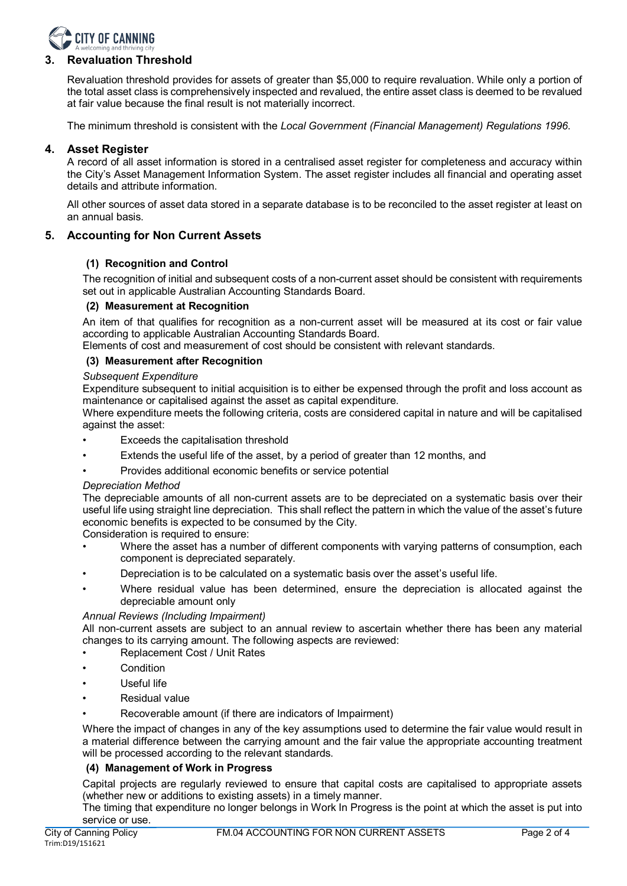

## **3. Revaluation Threshold**

Revaluation threshold provides for assets of greater than \$5,000 to require revaluation. While only a portion of the total asset class is comprehensively inspected and revalued, the entire asset class is deemed to be revalued at fair value because the final result is not materially incorrect.

The minimum threshold is consistent with the *Local Government (Financial Management) Regulations 1996*.

## **4. Asset Register**

A record of all asset information is stored in a centralised asset register for completeness and accuracy within the City's Asset Management Information System. The asset register includes all financial and operating asset details and attribute information.

All other sources of asset data stored in a separate database is to be reconciled to the asset register at least on an annual basis.

## **5. Accounting for Non Current Assets**

## **(1) Recognition and Control**

The recognition of initial and subsequent costs of a non-current asset should be consistent with requirements set out in applicable Australian Accounting Standards Board.

#### **(2) Measurement at Recognition**

An item of that qualifies for recognition as a non-current asset will be measured at its cost or fair value according to applicable Australian Accounting Standards Board.

Elements of cost and measurement of cost should be consistent with relevant standards.

## **(3) Measurement after Recognition**

#### *Subsequent Expenditure*

Expenditure subsequent to initial acquisition is to either be expensed through the profit and loss account as maintenance or capitalised against the asset as capital expenditure.

Where expenditure meets the following criteria, costs are considered capital in nature and will be capitalised against the asset:

- Exceeds the capitalisation threshold
- Extends the useful life of the asset, by a period of greater than 12 months, and
- Provides additional economic benefits or service potential

#### *Depreciation Method*

The depreciable amounts of all non-current assets are to be depreciated on a systematic basis over their useful life using straight line depreciation. This shall reflect the pattern in which the value of the asset's future economic benefits is expected to be consumed by the City.

Consideration is required to ensure:

- Where the asset has a number of different components with varying patterns of consumption, each component is depreciated separately.
- Depreciation is to be calculated on a systematic basis over the asset's useful life.
- Where residual value has been determined, ensure the depreciation is allocated against the depreciable amount only

## *Annual Reviews (Including Impairment)*

All non-current assets are subject to an annual review to ascertain whether there has been any material changes to its carrying amount. The following aspects are reviewed:

- Replacement Cost / Unit Rates
- **Condition**
- Useful life
- Residual value
- Recoverable amount (if there are indicators of Impairment)

Where the impact of changes in any of the key assumptions used to determine the fair value would result in a material difference between the carrying amount and the fair value the appropriate accounting treatment will be processed according to the relevant standards.

## **(4) Management of Work in Progress**

Capital projects are regularly reviewed to ensure that capital costs are capitalised to appropriate assets (whether new or additions to existing assets) in a timely manner.

The timing that expenditure no longer belongs in Work In Progress is the point at which the asset is put into service or use.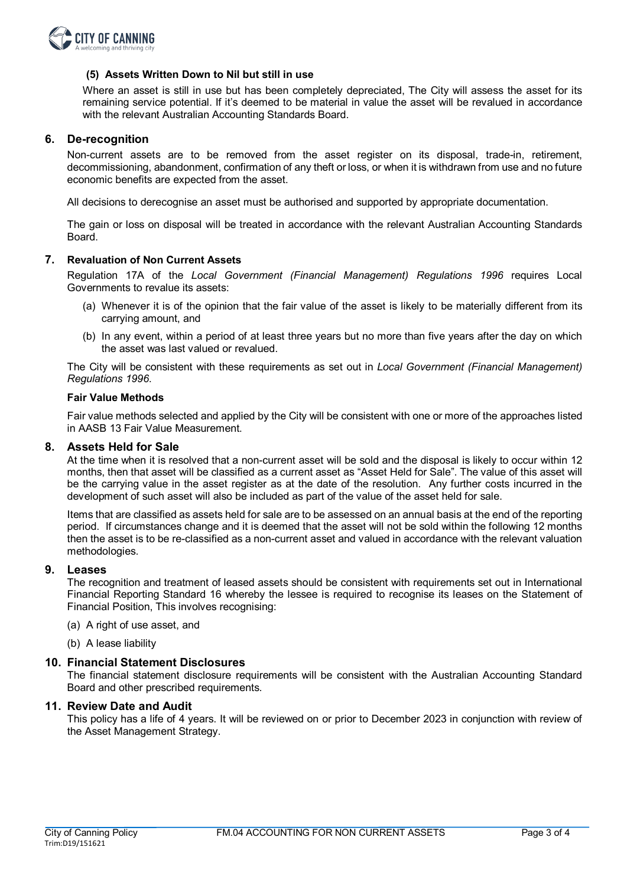

## **(5) Assets Written Down to Nil but still in use**

Where an asset is still in use but has been completely depreciated, The City will assess the asset for its remaining service potential. If it's deemed to be material in value the asset will be revalued in accordance with the relevant Australian Accounting Standards Board.

#### **6. De-recognition**

Non-current assets are to be removed from the asset register on its disposal, trade-in, retirement, decommissioning, abandonment, confirmation of any theft or loss, or when it is withdrawn from use and no future economic benefits are expected from the asset.

All decisions to derecognise an asset must be authorised and supported by appropriate documentation.

The gain or loss on disposal will be treated in accordance with the relevant Australian Accounting Standards Board.

#### **7. Revaluation of Non Current Assets**

Regulation 17A of the *Local Government (Financial Management) Regulations 1996* requires Local Governments to revalue its assets:

- (a) Whenever it is of the opinion that the fair value of the asset is likely to be materially different from its carrying amount, and
- (b) In any event, within a period of at least three years but no more than five years after the day on which the asset was last valued or revalued.

The City will be consistent with these requirements as set out in *Local Government (Financial Management) Regulations 1996*.

#### **Fair Value Methods**

Fair value methods selected and applied by the City will be consistent with one or more of the approaches listed in AASB 13 Fair Value Measurement.

#### **8. Assets Held for Sale**

At the time when it is resolved that a non-current asset will be sold and the disposal is likely to occur within 12 months, then that asset will be classified as a current asset as "Asset Held for Sale". The value of this asset will be the carrying value in the asset register as at the date of the resolution. Any further costs incurred in the development of such asset will also be included as part of the value of the asset held for sale.

Items that are classified as assets held for sale are to be assessed on an annual basis at the end of the reporting period. If circumstances change and it is deemed that the asset will not be sold within the following 12 months then the asset is to be re-classified as a non-current asset and valued in accordance with the relevant valuation methodologies.

#### **9. Leases**

The recognition and treatment of leased assets should be consistent with requirements set out in International Financial Reporting Standard 16 whereby the lessee is required to recognise its leases on the Statement of Financial Position, This involves recognising:

- (a) A right of use asset, and
- (b) A lease liability

### **10. Financial Statement Disclosures**

The financial statement disclosure requirements will be consistent with the Australian Accounting Standard Board and other prescribed requirements.

#### **11. Review Date and Audit**

This policy has a life of 4 years. It will be reviewed on or prior to December 2023 in conjunction with review of the Asset Management Strategy.